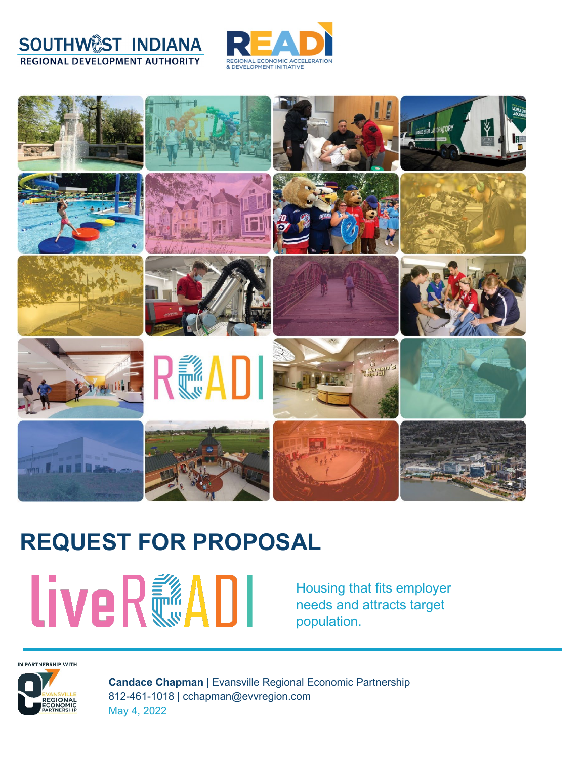



# **REQUEST FOR PROPOSAL**

**LiveR®ADI** 

Housing that fits employer needs and attracts target population.

IN PARTNERSHIP WITH



**Candace Chapman** | Evansville Regional Economic Partnership 812-461-1018 | cchapman@evvregion.com May 4, 2022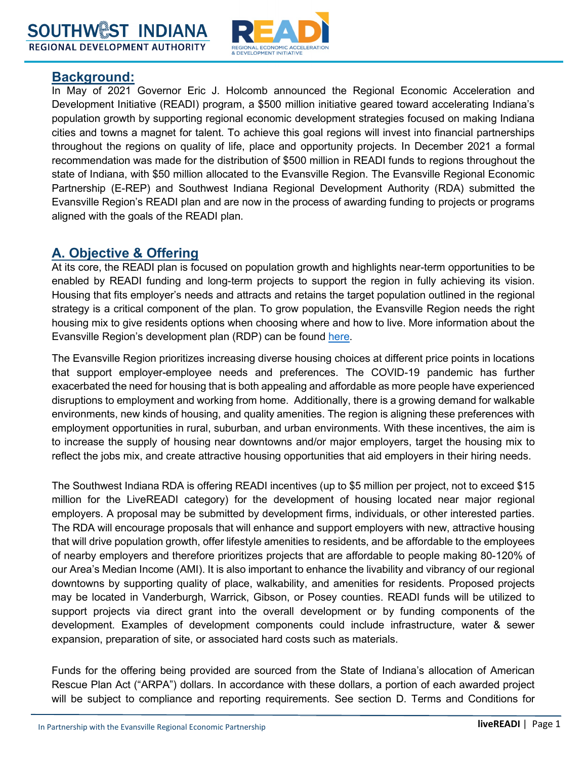

#### **Background:**

In May of 2021 Governor Eric J. Holcomb announced the Regional Economic Acceleration and Development Initiative (READI) program, a \$500 million initiative geared toward accelerating Indiana's population growth by supporting regional economic development strategies focused on making Indiana cities and towns a magnet for talent. To achieve this goal regions will invest into financial partnerships throughout the regions on quality of life, place and opportunity projects. In December 2021 a formal recommendation was made for the distribution of \$500 million in READI funds to regions throughout the state of Indiana, with \$50 million allocated to the Evansville Region. The Evansville Regional Economic Partnership (E-REP) and Southwest Indiana Regional Development Authority (RDA) submitted the Evansville Region's READI plan and are now in the process of awarding funding to projects or programs aligned with the goals of the READI plan.

### **A. Objective & Offering**

At its core, the READI plan is focused on population growth and highlights near-term opportunities to be enabled by READI funding and long-term projects to support the region in fully achieving its vision. Housing that fits employer's needs and attracts and retains the target population outlined in the regional strategy is a critical component of the plan. To grow population, the Evansville Region needs the right housing mix to give residents options when choosing where and how to live. More information about the Evansville Region's development plan (RDP) can be found [here.](https://evansvilleregion.com/wp-content/uploads/2022/02/READI-Regional-Development-Plan-1.pdf)

The Evansville Region prioritizes increasing diverse housing choices at different price points in locations that support employer-employee needs and preferences. The COVID-19 pandemic has further exacerbated the need for housing that is both appealing and affordable as more people have experienced disruptions to employment and working from home. Additionally, there is a growing demand for walkable environments, new kinds of housing, and quality amenities. The region is aligning these preferences with employment opportunities in rural, suburban, and urban environments. With these incentives, the aim is to increase the supply of housing near downtowns and/or major employers, target the housing mix to reflect the jobs mix, and create attractive housing opportunities that aid employers in their hiring needs.

The Southwest Indiana RDA is offering READI incentives (up to \$5 million per project, not to exceed \$15 million for the LiveREADI category) for the development of housing located near major regional employers. A proposal may be submitted by development firms, individuals, or other interested parties. The RDA will encourage proposals that will enhance and support employers with new, attractive housing that will drive population growth, offer lifestyle amenities to residents, and be affordable to the employees of nearby employers and therefore prioritizes projects that are affordable to people making 80-120% of our Area's Median Income (AMI). It is also important to enhance the livability and vibrancy of our regional downtowns by supporting quality of place, walkability, and amenities for residents. Proposed projects may be located in Vanderburgh, Warrick, Gibson, or Posey counties. READI funds will be utilized to support projects via direct grant into the overall development or by funding components of the development. Examples of development components could include infrastructure, water & sewer expansion, preparation of site, or associated hard costs such as materials.

Funds for the offering being provided are sourced from the State of Indiana's allocation of American Rescue Plan Act ("ARPA") dollars. In accordance with these dollars, a portion of each awarded project will be subject to compliance and reporting requirements. See section D. Terms and Conditions for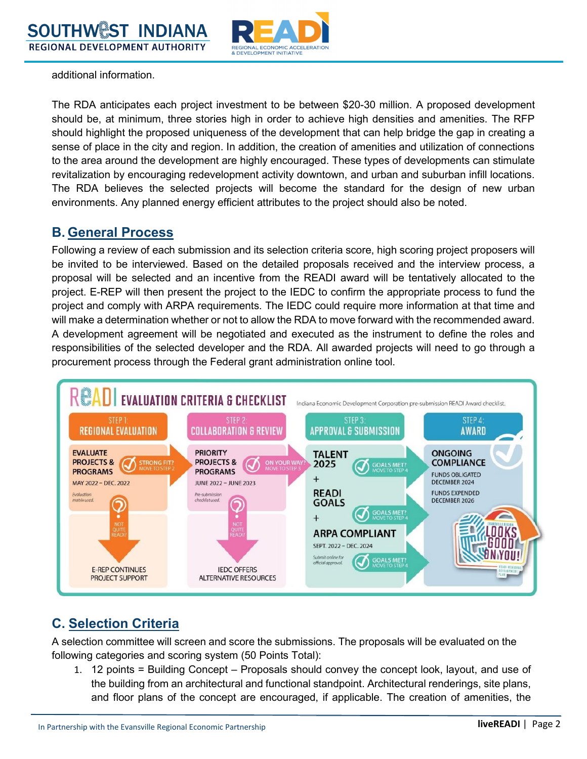

additional information.

The RDA anticipates each project investment to be between \$20-30 million. A proposed development should be, at minimum, three stories high in order to achieve high densities and amenities. The RFP should highlight the proposed uniqueness of the development that can help bridge the gap in creating a sense of place in the city and region. In addition, the creation of amenities and utilization of connections to the area around the development are highly encouraged. These types of developments can stimulate revitalization by encouraging redevelopment activity downtown, and urban and suburban infill locations. The RDA believes the selected projects will become the standard for the design of new urban environments. Any planned energy efficient attributes to the project should also be noted.

## **B. General Process**

Following a review of each submission and its selection criteria score, high scoring project proposers will be invited to be interviewed. Based on the detailed proposals received and the interview process, a proposal will be selected and an incentive from the READI award will be tentatively allocated to the project. E-REP will then present the project to the IEDC to confirm the appropriate process to fund the project and comply with ARPA requirements. The IEDC could require more information at that time and will make a determination whether or not to allow the RDA to move forward with the recommended award. A development agreement will be negotiated and executed as the instrument to define the roles and responsibilities of the selected developer and the RDA. All awarded projects will need to go through a procurement process through the Federal grant administration online tool.



## **C. Selection Criteria**

A selection committee will screen and score the submissions. The proposals will be evaluated on the following categories and scoring system (50 Points Total):

1. 12 points = Building Concept – Proposals should convey the concept look, layout, and use of the building from an architectural and functional standpoint. Architectural renderings, site plans, and floor plans of the concept are encouraged, if applicable. The creation of amenities, the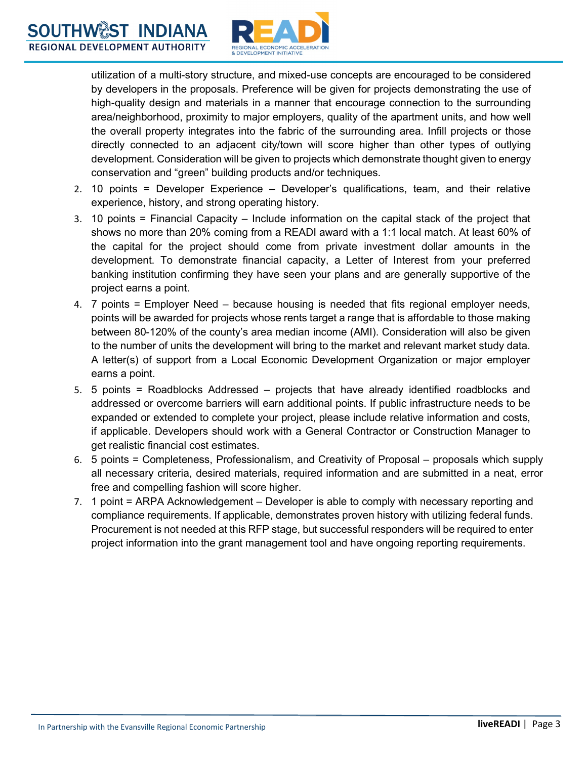

utilization of a multi-story structure, and mixed-use concepts are encouraged to be considered by developers in the proposals. Preference will be given for projects demonstrating the use of high-quality design and materials in a manner that encourage connection to the surrounding area/neighborhood, proximity to major employers, quality of the apartment units, and how well the overall property integrates into the fabric of the surrounding area. Infill projects or those directly connected to an adjacent city/town will score higher than other types of outlying development. Consideration will be given to projects which demonstrate thought given to energy conservation and "green" building products and/or techniques.

- 2. 10 points = Developer Experience Developer's qualifications, team, and their relative experience, history, and strong operating history.
- 3. 10 points = Financial Capacity Include information on the capital stack of the project that shows no more than 20% coming from a READI award with a 1:1 local match. At least 60% of the capital for the project should come from private investment dollar amounts in the development. To demonstrate financial capacity, a Letter of Interest from your preferred banking institution confirming they have seen your plans and are generally supportive of the project earns a point.
- 4. 7 points = Employer Need because housing is needed that fits regional employer needs, points will be awarded for projects whose rents target a range that is affordable to those making between 80-120% of the county's area median income (AMI). Consideration will also be given to the number of units the development will bring to the market and relevant market study data. A letter(s) of support from a Local Economic Development Organization or major employer earns a point.
- 5. 5 points = Roadblocks Addressed projects that have already identified roadblocks and addressed or overcome barriers will earn additional points. If public infrastructure needs to be expanded or extended to complete your project, please include relative information and costs, if applicable. Developers should work with a General Contractor or Construction Manager to get realistic financial cost estimates.
- 6. 5 points = Completeness, Professionalism, and Creativity of Proposal proposals which supply all necessary criteria, desired materials, required information and are submitted in a neat, error free and compelling fashion will score higher.
- 7. 1 point = ARPA Acknowledgement Developer is able to comply with necessary reporting and compliance requirements. If applicable, demonstrates proven history with utilizing federal funds. Procurement is not needed at this RFP stage, but successful responders will be required to enter project information into the grant management tool and have ongoing reporting requirements.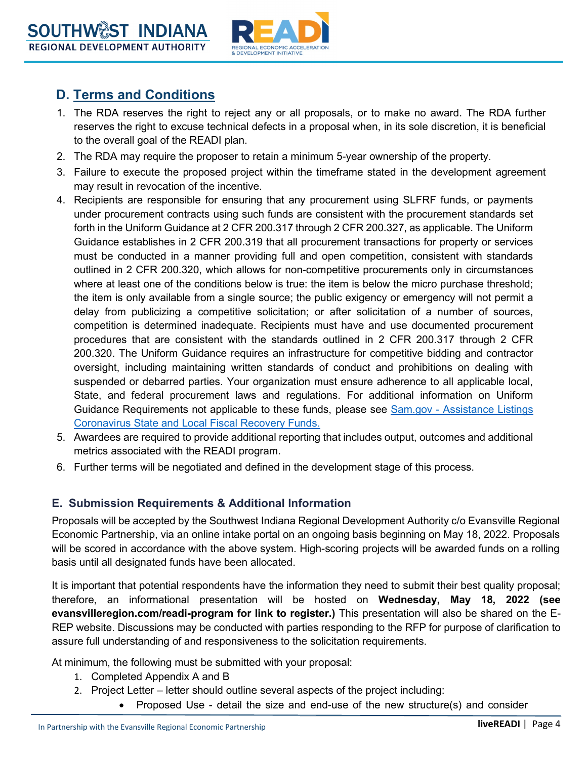

## **D. Terms and Conditions**

- 1. The RDA reserves the right to reject any or all proposals, or to make no award. The RDA further reserves the right to excuse technical defects in a proposal when, in its sole discretion, it is beneficial to the overall goal of the READI plan.
- 2. The RDA may require the proposer to retain a minimum 5-year ownership of the property.
- 3. Failure to execute the proposed project within the timeframe stated in the development agreement may result in revocation of the incentive.
- 4. Recipients are responsible for ensuring that any procurement using SLFRF funds, or payments under procurement contracts using such funds are consistent with the procurement standards set forth in the Uniform Guidance at 2 CFR 200.317 through 2 CFR 200.327, as applicable. The Uniform Guidance establishes in 2 CFR 200.319 that all procurement transactions for property or services must be conducted in a manner providing full and open competition, consistent with standards outlined in 2 CFR 200.320, which allows for non-competitive procurements only in circumstances where at least one of the conditions below is true: the item is below the micro purchase threshold; the item is only available from a single source; the public exigency or emergency will not permit a delay from publicizing a competitive solicitation; or after solicitation of a number of sources, competition is determined inadequate. Recipients must have and use documented procurement procedures that are consistent with the standards outlined in 2 CFR 200.317 through 2 CFR 200.320. The Uniform Guidance requires an infrastructure for competitive bidding and contractor oversight, including maintaining written standards of conduct and prohibitions on dealing with suspended or debarred parties. Your organization must ensure adherence to all applicable local, State, and federal procurement laws and regulations. For additional information on Uniform Guidance Requirements not applicable to these funds, please see [Sam.gov - Assistance Listings](https://sam.gov/fal/873d18612d254b19b9a535ec6901b5a1/view)  [Coronavirus State and Local Fiscal Recovery Funds.](https://sam.gov/fal/873d18612d254b19b9a535ec6901b5a1/view)
- 5. Awardees are required to provide additional reporting that includes output, outcomes and additional metrics associated with the READI program.
- 6. Further terms will be negotiated and defined in the development stage of this process.

#### **E. Submission Requirements & Additional Information**

Proposals will be accepted by the Southwest Indiana Regional Development Authority c/o Evansville Regional Economic Partnership, via an online intake portal on an ongoing basis beginning on May 18, 2022. Proposals will be scored in accordance with the above system. High-scoring projects will be awarded funds on a rolling basis until all designated funds have been allocated.

It is important that potential respondents have the information they need to submit their best quality proposal; therefore, an informational presentation will be hosted on **Wednesday, May 18, 2022 (see evansvilleregion.com/readi-program for link to register.)** This presentation will also be shared on the E-REP website. Discussions may be conducted with parties responding to the RFP for purpose of clarification to assure full understanding of and responsiveness to the solicitation requirements.

At minimum, the following must be submitted with your proposal:

- 1. Completed Appendix A and B
- 2. Project Letter letter should outline several aspects of the project including:
	- Proposed Use detail the size and end-use of the new structure(s) and consider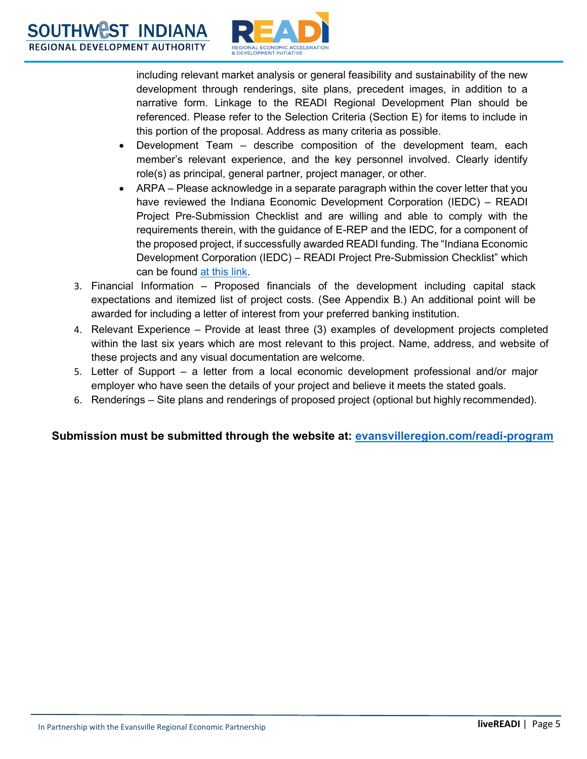

including relevant market analysis or general feasibility and sustainability of the new development through renderings, site plans, precedent images, in addition to a narrative form. Linkage to the READI Regional Development Plan should be referenced. Please refer to the Selection Criteria (Section E) for items to include in this portion of the proposal. Address as many criteria as possible.

- Development Team describe composition of the development team, each member's relevant experience, and the key personnel involved. Clearly identify role(s) as principal, general partner, project manager, or other.
- ARPA Please acknowledge in a separate paragraph within the cover letter that you have reviewed the Indiana Economic Development Corporation (IEDC) – READI Project Pre-Submission Checklist and are willing and able to comply with the requirements therein, with the guidance of E-REP and the IEDC, for a component of the proposed project, if successfully awarded READI funding. The "Indiana Economic Development Corporation (IEDC) – READI Project Pre-Submission Checklist" which can be found [at this link.](https://www.evansvilleregion.com/readi/readi-project-pre-submission-checklist/)
- 3. Financial Information Proposed financials of the development including capital stack expectations and itemized list of project costs. (See Appendix B.) An additional point will be awarded for including a letter of interest from your preferred banking institution.
- 4. Relevant Experience Provide at least three (3) examples of development projects completed within the last six years which are most relevant to this project. Name, address, and website of these projects and any visual documentation are welcome.
- 5. Letter of Support a letter from a local economic development professional and/or major employer who have seen the details of your project and believe it meets the stated goals.
- 6. Renderings Site plans and renderings of proposed project (optional but highly recommended).

#### **Submission must be submitted through the website at: [evansvilleregion.com/readi-program](file://FS01/Marketing_Share/2022/READI/evansvilleregion.com/readi-program)**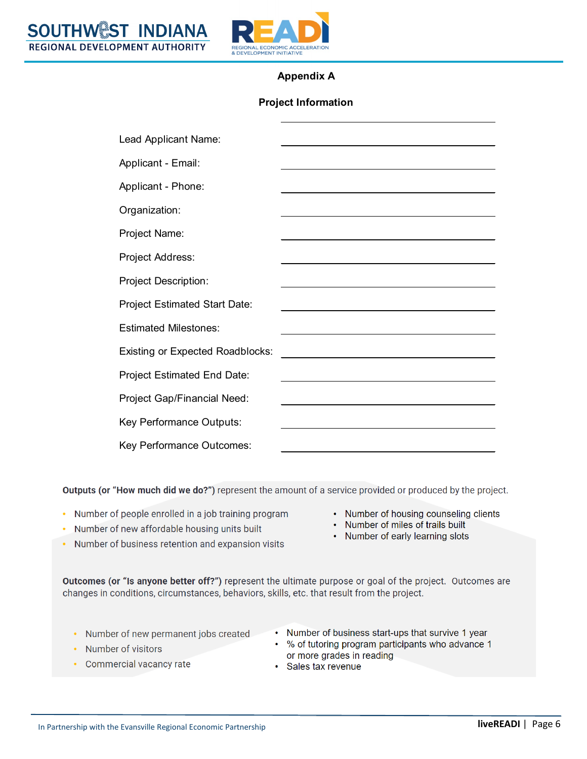

#### **Appendix A**

#### **Project Information**

| Lead Applicant Name:                    |                                                                                           |
|-----------------------------------------|-------------------------------------------------------------------------------------------|
| Applicant - Email:                      |                                                                                           |
| Applicant - Phone:                      | <u> 1989 - Andrea Stadt Britain, amerikansk politiker (d. 1989)</u>                       |
| Organization:                           |                                                                                           |
| Project Name:                           |                                                                                           |
| Project Address:                        | the control of the control of the control of the control of the control of the control of |
| <b>Project Description:</b>             |                                                                                           |
| <b>Project Estimated Start Date:</b>    |                                                                                           |
| <b>Estimated Milestones:</b>            |                                                                                           |
| <b>Existing or Expected Roadblocks:</b> |                                                                                           |
| <b>Project Estimated End Date:</b>      |                                                                                           |
| Project Gap/Financial Need:             |                                                                                           |
| Key Performance Outputs:                |                                                                                           |
| Key Performance Outcomes:               |                                                                                           |

Outputs (or "How much did we do?") represent the amount of a service provided or produced by the project.

- Number of people enrolled in a job training program
- Number of new affordable housing units built
- Number of business retention and expansion visits
- Number of housing counseling clients
- Number of miles of trails built
- Number of early learning slots

Outcomes (or "Is anyone better off?") represent the ultimate purpose or goal of the project. Outcomes are changes in conditions, circumstances, behaviors, skills, etc. that result from the project.

- Number of new permanent jobs created
- Number of business start-ups that survive 1 year % of tutoring program participants who advance 1  $\bullet$

Number of visitors

or more grades in reading · Sales tax revenue

- Commercial vacancy rate
- In Partnership with the Evansville Regional Economic Partnership **No. 2018** 2019 11:00 **Inversion Community** Page 6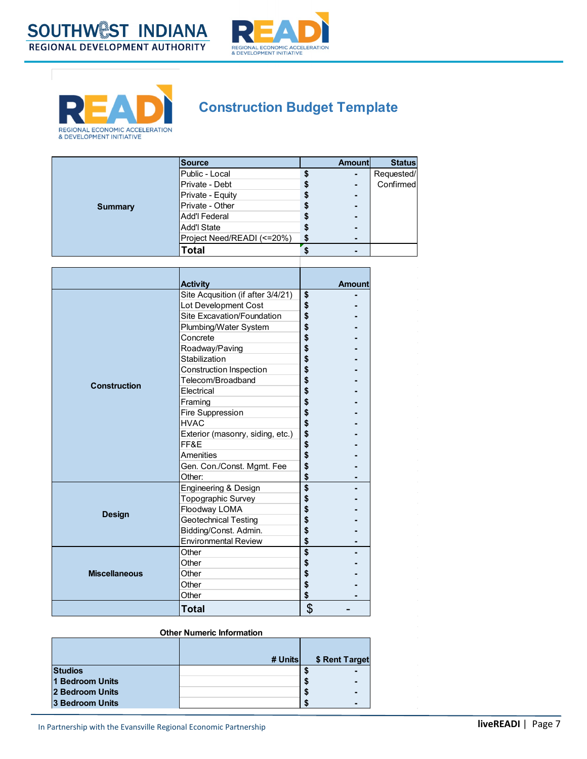



## **Construction Budget Template**

|                | Source                     |   | <b>Amount</b> | <b>Status</b> |
|----------------|----------------------------|---|---------------|---------------|
|                | Public - Local             |   |               | Requested/    |
|                | Private - Debt             |   |               | Confirmed     |
|                | Private - Equity           |   | -             |               |
| <b>Summary</b> | <b>Private - Other</b>     |   |               |               |
|                | Add'l Federal              |   |               |               |
|                | Add'l State                |   |               |               |
|                | Project Need/READI (<=20%) | S |               |               |
|                | Total                      |   |               |               |

|                      | <b>Activity</b><br>Site Acqusition (if after 3/4/21) | \$       | <b>Amount</b> |
|----------------------|------------------------------------------------------|----------|---------------|
|                      | Lot Development Cost                                 | \$       |               |
|                      | Site Excavation/Foundation                           | \$       |               |
|                      | Plumbing/Water System                                | \$       |               |
|                      | Concrete                                             | \$       |               |
|                      |                                                      | \$       |               |
|                      | Roadway/Paving<br>Stabilization                      | \$       |               |
|                      |                                                      | \$       |               |
|                      | Construction Inspection<br>Telecom/Broadband         |          |               |
| <b>Construction</b>  |                                                      | \$       |               |
|                      | Electrical                                           | \$       |               |
|                      | Framing                                              | \$       |               |
|                      | Fire Suppression                                     | \$       |               |
|                      | <b>HVAC</b>                                          | \$       |               |
|                      | Exterior (masonry, siding, etc.)                     | \$<br>\$ |               |
|                      | FF&E                                                 |          |               |
|                      | Amenities                                            | \$       |               |
|                      | Gen. Con./Const. Mgmt. Fee                           | \$       |               |
|                      | Other:                                               | \$       |               |
| <b>Design</b>        | Engineering & Design                                 | \$       |               |
|                      | Topographic Survey                                   | \$       |               |
|                      | Floodway LOMA                                        | \$       |               |
|                      | Geotechnical Testing                                 | \$       |               |
|                      | Bidding/Const. Admin.                                | \$       |               |
|                      | <b>Environmental Review</b>                          | \$       |               |
| <b>Miscellaneous</b> | Other                                                | \$       |               |
|                      | Other                                                | \$       |               |
|                      | Other                                                | \$       |               |
|                      | Other                                                | \$       |               |
|                      | Other                                                | \$       |               |
|                      | Total                                                | \$       |               |

#### **Other Numeric Information**

|                 | # Unitsl | \$ Rent Target |
|-----------------|----------|----------------|
| <b>Studios</b>  |          |                |
| 1 Bedroom Units |          | S              |
| 2 Bedroom Units |          | э<br>-         |
| 3 Bedroom Units |          |                |